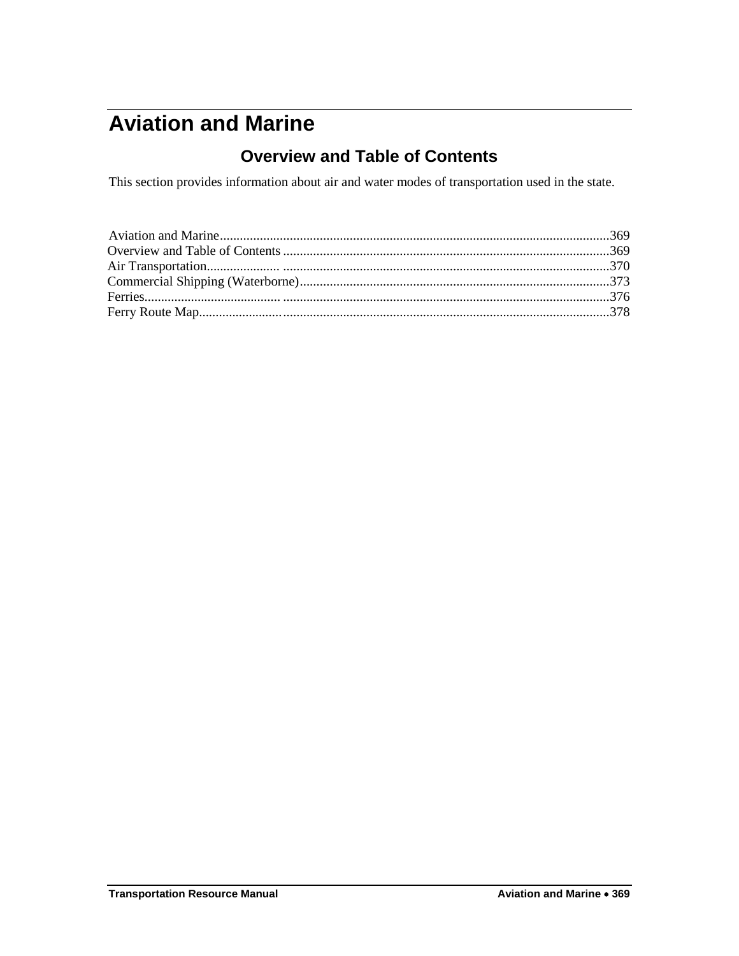# <span id="page-0-1"></span><span id="page-0-0"></span>**Aviation and Marine**

# **Overview and Table of Contents**

This section provides information about air and water modes of transportation used in the state.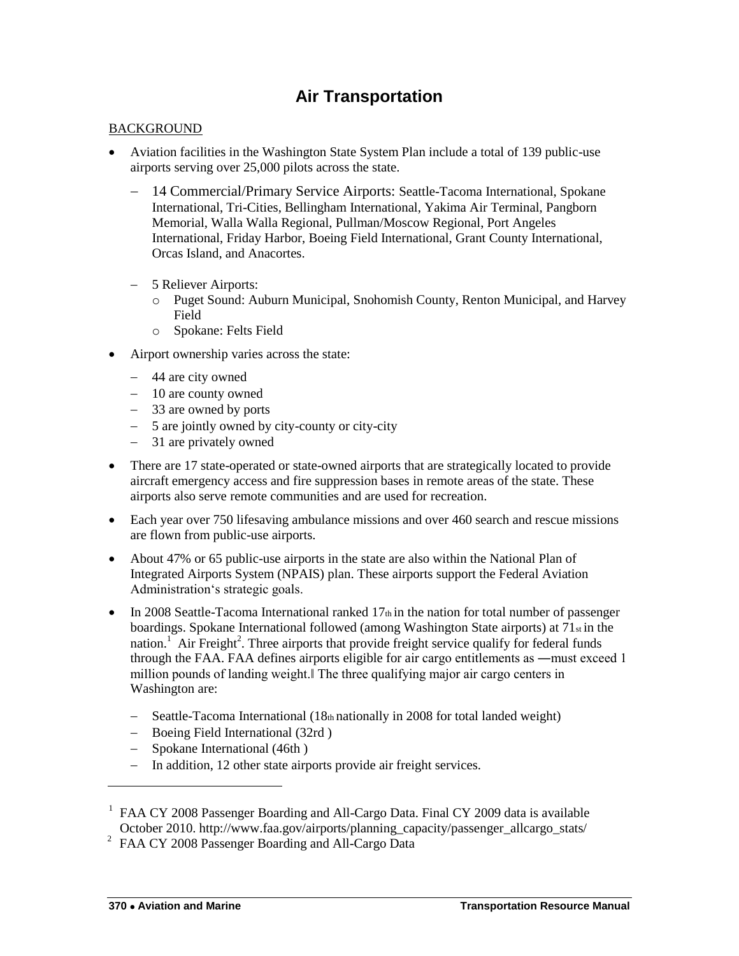# **Air Transportation**

#### <span id="page-1-0"></span>BACKGROUND

- Aviation facilities in the Washington State System Plan include a total of 139 public-use airports serving over 25,000 pilots across the state.
	- 14 Commercial/Primary Service Airports: Seattle-Tacoma International, Spokane International, Tri-Cities, Bellingham International, Yakima Air Terminal, Pangborn Memorial, Walla Walla Regional, Pullman/Moscow Regional, Port Angeles International, Friday Harbor, Boeing Field International, Grant County International, Orcas Island, and Anacortes.
	- 5 Reliever Airports:
		- o Puget Sound: Auburn Municipal, Snohomish County, Renton Municipal, and Harvey Field
		- o Spokane: Felts Field
- Airport ownership varies across the state:
	- 44 are city owned
	- 10 are county owned
	- 33 are owned by ports
	- 5 are jointly owned by city-county or city-city
	- 31 are privately owned
- There are 17 state-operated or state-owned airports that are strategically located to provide aircraft emergency access and fire suppression bases in remote areas of the state. These airports also serve remote communities and are used for recreation.
- Each year over 750 lifesaving ambulance missions and over 460 search and rescue missions are flown from public-use airports.
- About 47% or 65 public-use airports in the state are also within the National Plan of Integrated Airports System (NPAIS) plan. These airports support the Federal Aviation Administration's strategic goals.
- $\bullet$  In 2008 Seattle-Tacoma International ranked 17th in the nation for total number of passenger boardings. Spokane International followed (among Washington State airports) at  $71<sub>st</sub>$  in the nation.<sup>1</sup> Air Freight<sup>2</sup>. Three airports that provide freight service qualify for federal funds through the FAA. FAA defines airports eligible for air cargo entitlements as ―must exceed 1 million pounds of landing weight.‖ The three qualifying major air cargo centers in Washington are:
	- Seattle-Tacoma International (18th nationally in 2008 for total landed weight)
	- Boeing Field International (32rd)
	- Spokane International (46th)
	- In addition, 12 other state airports provide air freight services.

<sup>&</sup>lt;sup>1</sup> FAA CY 2008 Passenger Boarding and All-Cargo Data. Final CY 2009 data is available October 2010. http://www.faa.gov/airports/planning\_capacity/passenger\_allcargo\_stats/

<sup>&</sup>lt;sup>2</sup> FAA CY 2008 Passenger Boarding and All-Cargo Data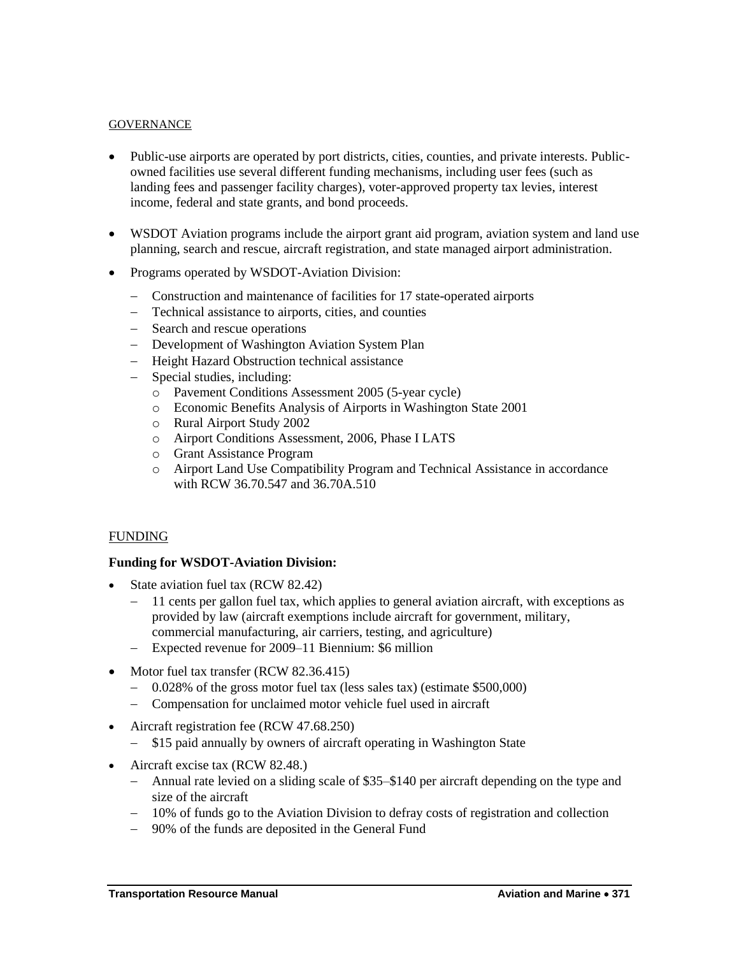#### **GOVERNANCE**

- Public-use airports are operated by port districts, cities, counties, and private interests. Publicowned facilities use several different funding mechanisms, including user fees (such as landing fees and passenger facility charges), voter-approved property tax levies, interest income, federal and state grants, and bond proceeds.
- WSDOT Aviation programs include the airport grant aid program, aviation system and land use planning, search and rescue, aircraft registration, and state managed airport administration.
- Programs operated by WSDOT-Aviation Division:
	- Construction and maintenance of facilities for 17 state-operated airports
	- Technical assistance to airports, cities, and counties
	- Search and rescue operations
	- Development of Washington Aviation System Plan
	- Height Hazard Obstruction technical assistance
	- Special studies, including:
		- o Pavement Conditions Assessment 2005 (5-year cycle)
		- o Economic Benefits Analysis of Airports in Washington State 2001
		- o Rural Airport Study 2002
		- o Airport Conditions Assessment, 2006, Phase I LATS
		- o Grant Assistance Program
		- o Airport Land Use Compatibility Program and Technical Assistance in accordance with RCW 36.70.547 and 36.70A.510

#### FUNDING

#### **Funding for WSDOT-Aviation Division:**

- State aviation fuel tax (RCW 82.42)
	- 11 cents per gallon fuel tax, which applies to general aviation aircraft, with exceptions as provided by law (aircraft exemptions include aircraft for government, military, commercial manufacturing, air carriers, testing, and agriculture)
	- Expected revenue for 2009–11 Biennium: \$6 million
- Motor fuel tax transfer (RCW 82.36.415)
	- 0.028% of the gross motor fuel tax (less sales tax) (estimate \$500,000)
	- Compensation for unclaimed motor vehicle fuel used in aircraft
- Aircraft registration fee (RCW 47.68.250)
	- \$15 paid annually by owners of aircraft operating in Washington State
- Aircraft excise tax (RCW 82.48.)
	- Annual rate levied on a sliding scale of \$35–\$140 per aircraft depending on the type and size of the aircraft
	- 10% of funds go to the Aviation Division to defray costs of registration and collection
	- 90% of the funds are deposited in the General Fund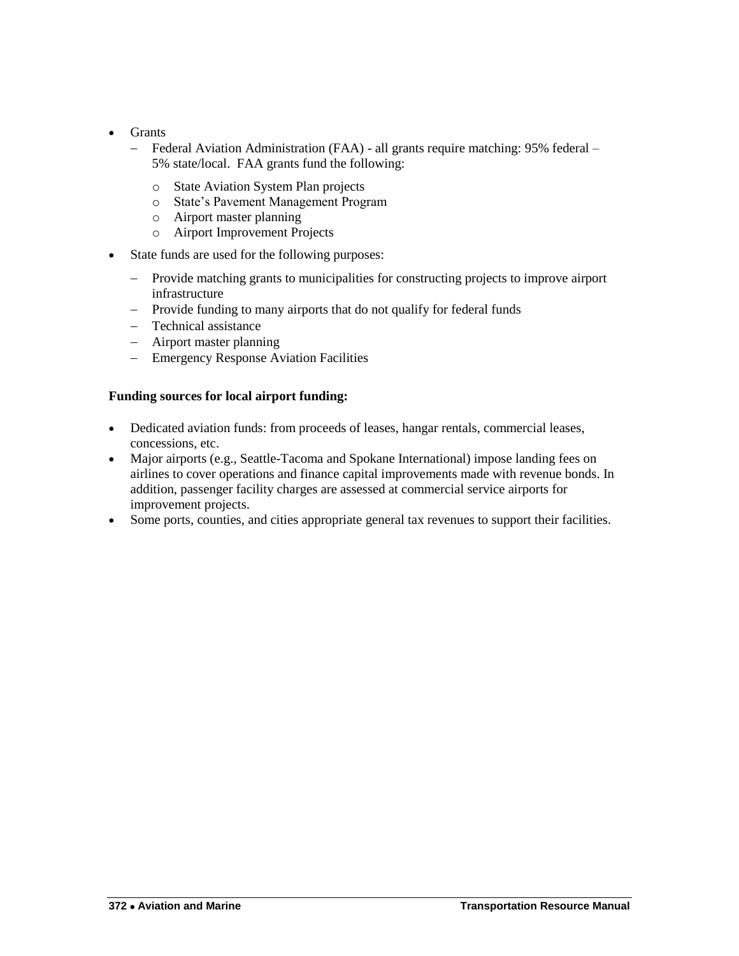- Grants
	- Federal Aviation Administration (FAA) all grants require matching: 95% federal 5% state/local. FAA grants fund the following:
		- o State Aviation System Plan projects
		- o State's Pavement Management Program
		- o Airport master planning
		- o Airport Improvement Projects
- State funds are used for the following purposes:
	- Provide matching grants to municipalities for constructing projects to improve airport infrastructure
	- Provide funding to many airports that do not qualify for federal funds
	- Technical assistance
	- Airport master planning
	- Emergency Response Aviation Facilities

#### **Funding sources for local airport funding:**

- Dedicated aviation funds: from proceeds of leases, hangar rentals, commercial leases, concessions, etc.
- Major airports (e.g., Seattle-Tacoma and Spokane International) impose landing fees on airlines to cover operations and finance capital improvements made with revenue bonds. In addition, passenger facility charges are assessed at commercial service airports for improvement projects.
- Some ports, counties, and cities appropriate general tax revenues to support their facilities.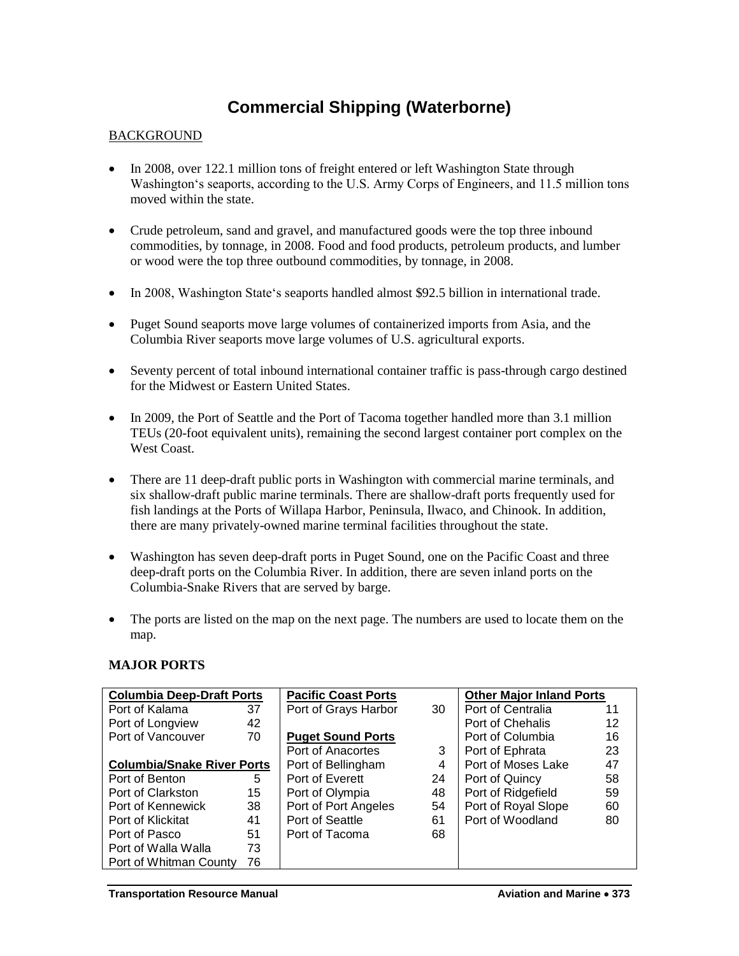# **Commercial Shipping (Waterborne)**

### <span id="page-4-0"></span>BACKGROUND

- In 2008, over 122.1 million tons of freight entered or left Washington State through Washington's seaports, according to the U.S. Army Corps of Engineers, and 11.5 million tons moved within the state.
- Crude petroleum, sand and gravel, and manufactured goods were the top three inbound commodities, by tonnage, in 2008. Food and food products, petroleum products, and lumber or wood were the top three outbound commodities, by tonnage, in 2008.
- In 2008, Washington State's seaports handled almost \$92.5 billion in international trade.
- Puget Sound seaports move large volumes of containerized imports from Asia, and the Columbia River seaports move large volumes of U.S. agricultural exports.
- Seventy percent of total inbound international container traffic is pass-through cargo destined for the Midwest or Eastern United States.
- In 2009, the Port of Seattle and the Port of Tacoma together handled more than 3.1 million TEUs (20-foot equivalent units), remaining the second largest container port complex on the West Coast.
- There are 11 deep-draft public ports in Washington with commercial marine terminals, and six shallow-draft public marine terminals. There are shallow-draft ports frequently used for fish landings at the Ports of Willapa Harbor, Peninsula, Ilwaco, and Chinook. In addition, there are many privately-owned marine terminal facilities throughout the state.
- Washington has seven deep-draft ports in Puget Sound, one on the Pacific Coast and three deep-draft ports on the Columbia River. In addition, there are seven inland ports on the Columbia-Snake Rivers that are served by barge.
- The ports are listed on the map on the next page. The numbers are used to locate them on the map.

#### **MAJOR PORTS**

| <b>Columbia Deep-Draft Ports</b>  |    | <b>Pacific Coast Ports</b> |    | <b>Other Major Inland Ports</b> |    |
|-----------------------------------|----|----------------------------|----|---------------------------------|----|
| Port of Kalama                    | 37 | Port of Grays Harbor       | 30 | Port of Centralia               | 11 |
| Port of Longview                  | 42 |                            |    | Port of Chehalis                | 12 |
| Port of Vancouver                 | 70 | <b>Puget Sound Ports</b>   |    | Port of Columbia                | 16 |
|                                   |    | Port of Anacortes          | 3  | Port of Ephrata                 | 23 |
| <b>Columbia/Snake River Ports</b> |    | Port of Bellingham         | 4  | Port of Moses Lake              | 47 |
| Port of Benton                    | 5  | Port of Everett            | 24 | Port of Quincy                  | 58 |
| Port of Clarkston                 | 15 | Port of Olympia            | 48 | Port of Ridgefield              | 59 |
| Port of Kennewick                 | 38 | Port of Port Angeles       | 54 | Port of Royal Slope             | 60 |
| Port of Klickitat                 | 41 | Port of Seattle            | 61 | Port of Woodland                | 80 |
| Port of Pasco                     | 51 | Port of Tacoma             | 68 |                                 |    |
| Port of Walla Walla               | 73 |                            |    |                                 |    |
| Port of Whitman County            | 76 |                            |    |                                 |    |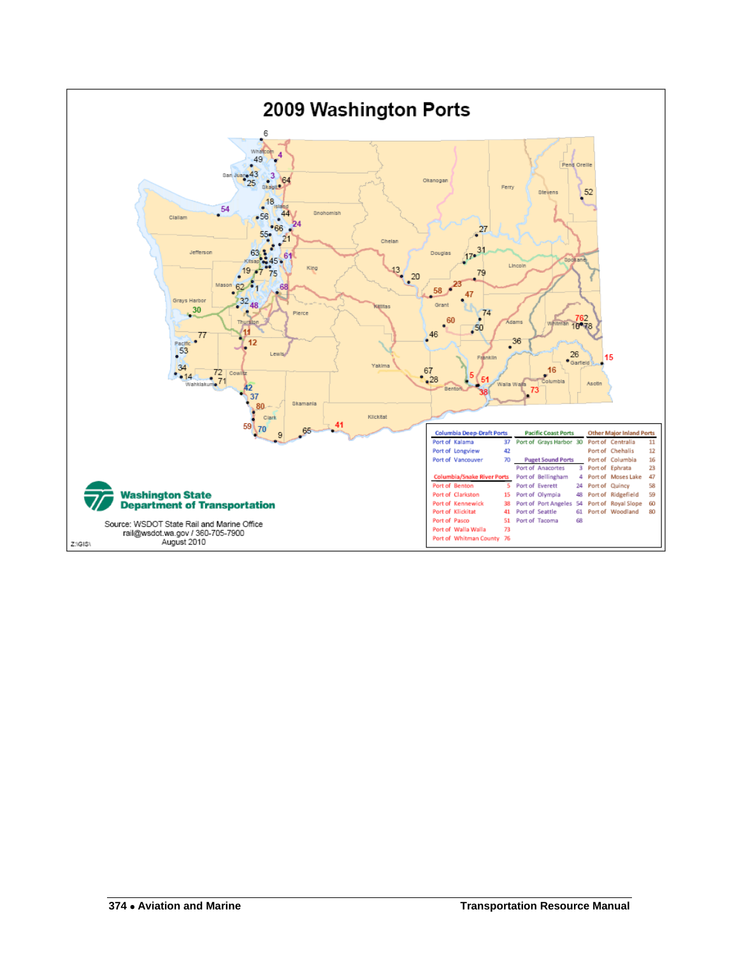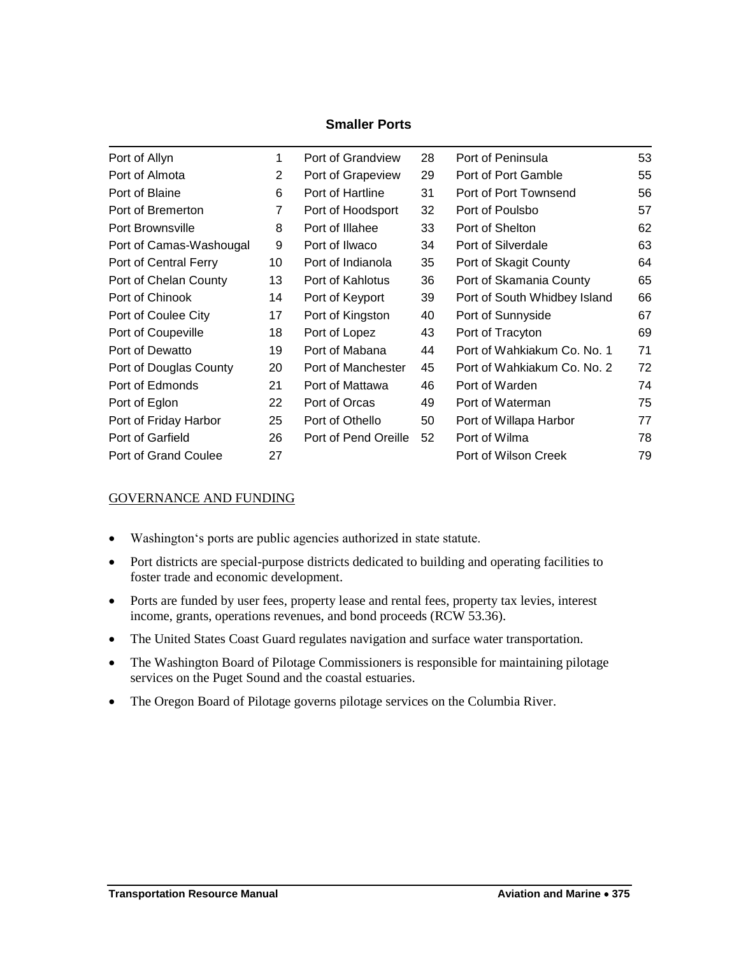### **Smaller Ports**

| Port of Allyn           | 1              | Port of Grandview    | 28 | Port of Peninsula            | 53 |
|-------------------------|----------------|----------------------|----|------------------------------|----|
| Port of Almota          | $\overline{2}$ | Port of Grapeview    | 29 | Port of Port Gamble          | 55 |
| Port of Blaine          | 6              | Port of Hartline     | 31 | Port of Port Townsend        | 56 |
| Port of Bremerton       | 7              | Port of Hoodsport    | 32 | Port of Poulsbo              | 57 |
| Port Brownsville        | 8              | Port of Illahee      | 33 | Port of Shelton              | 62 |
| Port of Camas-Washougal | 9              | Port of Ilwaco       | 34 | Port of Silverdale           | 63 |
| Port of Central Ferry   | 10             | Port of Indianola    | 35 | Port of Skagit County        | 64 |
| Port of Chelan County   | 13             | Port of Kahlotus     | 36 | Port of Skamania County      | 65 |
| Port of Chinook         | 14             | Port of Keyport      | 39 | Port of South Whidbey Island | 66 |
| Port of Coulee City     | 17             | Port of Kingston     | 40 | Port of Sunnyside            | 67 |
| Port of Coupeville      | 18             | Port of Lopez        | 43 | Port of Tracyton             | 69 |
| Port of Dewatto         | 19             | Port of Mabana       | 44 | Port of Wahkiakum Co. No. 1  | 71 |
| Port of Douglas County  | 20             | Port of Manchester   | 45 | Port of Wahkiakum Co. No. 2  | 72 |
| Port of Edmonds         | 21             | Port of Mattawa      | 46 | Port of Warden               | 74 |
| Port of Eglon           | 22             | Port of Orcas        | 49 | Port of Waterman             | 75 |
| Port of Friday Harbor   | 25             | Port of Othello      | 50 | Port of Willapa Harbor       | 77 |
| Port of Garfield        | 26             | Port of Pend Oreille | 52 | Port of Wilma                | 78 |
| Port of Grand Coulee    | 27             |                      |    | Port of Wilson Creek         | 79 |
|                         |                |                      |    |                              |    |

#### GOVERNANCE AND FUNDING

- Washington's ports are public agencies authorized in state statute.
- Port districts are special-purpose districts dedicated to building and operating facilities to foster trade and economic development.
- Ports are funded by user fees, property lease and rental fees, property tax levies, interest income, grants, operations revenues, and bond proceeds (RCW 53.36).
- The United States Coast Guard regulates navigation and surface water transportation.
- The Washington Board of Pilotage Commissioners is responsible for maintaining pilotage services on the Puget Sound and the coastal estuaries.
- The Oregon Board of Pilotage governs pilotage services on the Columbia River.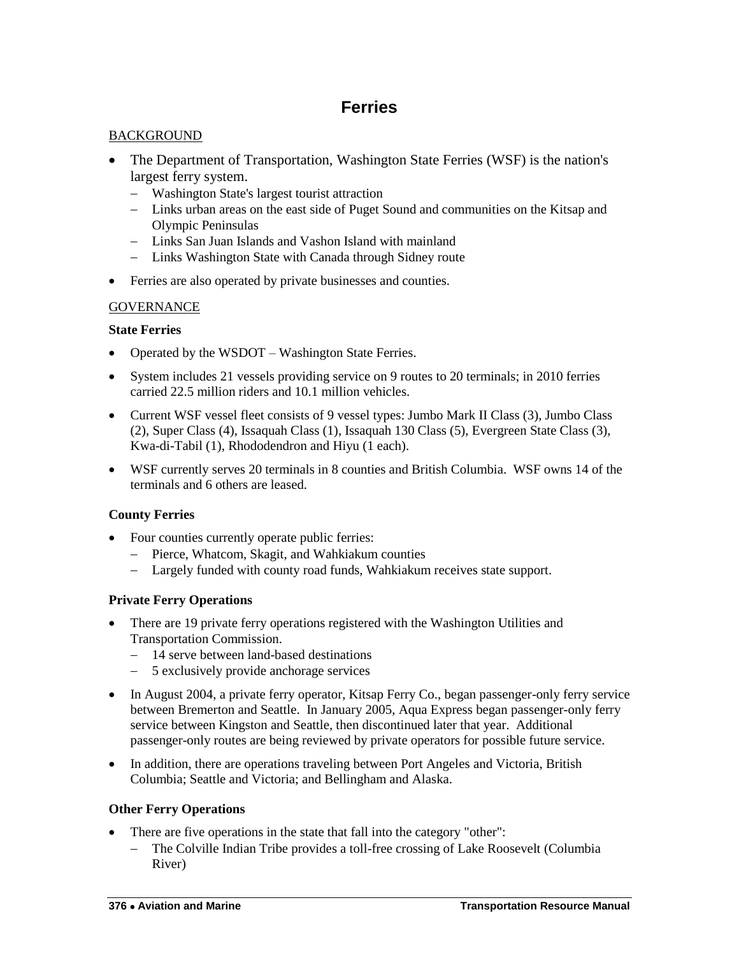# **Ferries**

### <span id="page-7-0"></span>BACKGROUND

- The Department of Transportation, Washington State Ferries (WSF) is the nation's largest ferry system.
	- Washington State's largest tourist attraction
	- Links urban areas on the east side of Puget Sound and communities on the Kitsap and Olympic Peninsulas
	- Links San Juan Islands and Vashon Island with mainland
	- Links Washington State with Canada through Sidney route
- Ferries are also operated by private businesses and counties.

#### **GOVERNANCE**

### **State Ferries**

- Operated by the WSDOT Washington State Ferries.
- System includes 21 vessels providing service on 9 routes to 20 terminals; in 2010 ferries carried 22.5 million riders and 10.1 million vehicles.
- Current WSF vessel fleet consists of 9 vessel types: Jumbo Mark II Class (3), Jumbo Class (2), Super Class (4), Issaquah Class (1), Issaquah 130 Class (5), Evergreen State Class (3), Kwa-di-Tabil (1), Rhododendron and Hiyu (1 each).
- WSF currently serves 20 terminals in 8 counties and British Columbia. WSF owns 14 of the terminals and 6 others are leased.

# **County Ferries**

- Four counties currently operate public ferries:
	- Pierce, Whatcom, Skagit, and Wahkiakum counties
	- Largely funded with county road funds, Wahkiakum receives state support.

# **Private Ferry Operations**

- There are 19 private ferry operations registered with the Washington Utilities and Transportation Commission.
	- 14 serve between land-based destinations
	- 5 exclusively provide anchorage services
- In August 2004, a private ferry operator, Kitsap Ferry Co., began passenger-only ferry service between Bremerton and Seattle. In January 2005, Aqua Express began passenger-only ferry service between Kingston and Seattle, then discontinued later that year. Additional passenger-only routes are being reviewed by private operators for possible future service.
- In addition, there are operations traveling between Port Angeles and Victoria, British Columbia; Seattle and Victoria; and Bellingham and Alaska.

#### **Other Ferry Operations**

- There are five operations in the state that fall into the category "other":
	- The Colville Indian Tribe provides a toll-free crossing of Lake Roosevelt (Columbia River)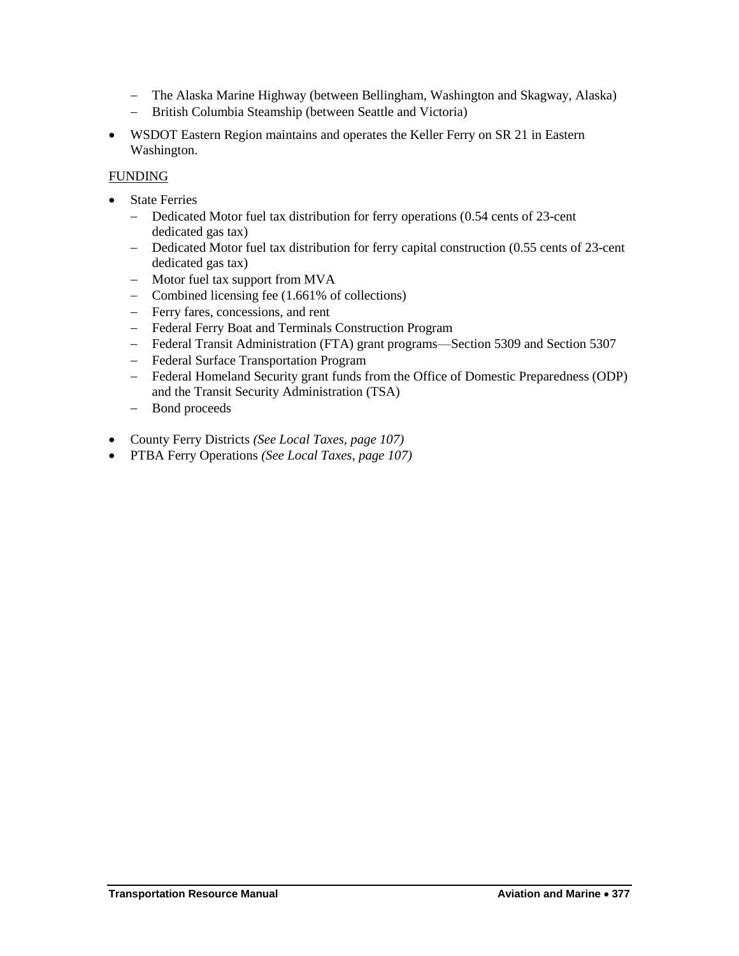- The Alaska Marine Highway (between Bellingham, Washington and Skagway, Alaska)
- British Columbia Steamship (between Seattle and Victoria)
- WSDOT Eastern Region maintains and operates the Keller Ferry on SR 21 in Eastern Washington.

#### FUNDING

- State Ferries
	- Dedicated Motor fuel tax distribution for ferry operations (0.54 cents of 23-cent dedicated gas tax)
	- Dedicated Motor fuel tax distribution for ferry capital construction (0.55 cents of 23-cent dedicated gas tax)
	- Motor fuel tax support from MVA
	- Combined licensing fee (1.661% of collections)
	- Ferry fares, concessions, and rent
	- Federal Ferry Boat and Terminals Construction Program
	- Federal Transit Administration (FTA) grant programs—Section 5309 and Section 5307
	- Federal Surface Transportation Program
	- Federal Homeland Security grant funds from the Office of Domestic Preparedness (ODP) and the Transit Security Administration (TSA)
	- Bond proceeds
- County Ferry Districts *(See Local Taxes, page 107)*
- PTBA Ferry Operations *(See Local Taxes, page 107)*